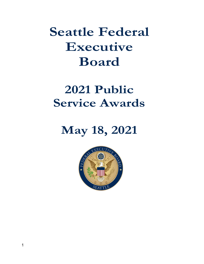# Seattle Federal Executive Board

# 2021 Public Service Awards

# May 18, 2021

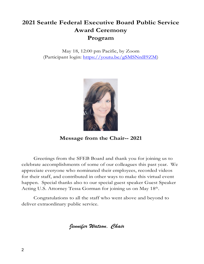# 2021 Seattle Federal Executive Board Public Service Award Ceremony Program

May 18, 12:00 pm Pacific, by Zoom (Participant login: https://youtu.be/gSMSNrdI9ZM)



Message from the Chair-- 2021

Greetings from the SFEB Board and thank you for joining us to celebrate accomplishments of some of our colleagues this past year. We appreciate everyone who nominated their employees, recorded videos for their staff, and contributed in other ways to make this virtual event happen. Special thanks also to our special guest speaker Guest Speaker Acting U.S. Attorney Tessa Gorman for joining us on May 18<sup>th</sup>.

. Congratulations to all the staff who went above and beyond to deliver extraordinary public service.

Jennifer Watson, Chair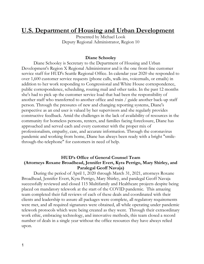## U.S. Department of Housing and Urban Development

Presented by Michael Look Deputy Regional Administrator, Region 10

#### Diane Schooley

Diane Schooley is Secretary to the Department of Housing and Urban Development's Region X Regional Administrator and is the one front-line customer service staff for HUD's Seattle Regional Office. In calendar year 2020 she responded to over 1,600 customer service requests (phone calls, walk-ins, voicemails, or emails) in addition to her work responding to Congressional and White House correspondence, public correspondence, scheduling, routing mail and other tasks. In the past 12 months she's had to pick up the customer service load that had been the responsibility of another staff who transferred to another office and train / guide another back-up staff person. Through the pressures of new and changing reporting systems, Diane's perspective as an end user is valued by her supervisors and she regularly provides constructive feedback. Amid the challenges in the lack of availability of resources in the community for homeless persons, renters, and families facing foreclosure, Diane has approached and served each and every customer with the proper mix of professionalism, empathy, care, and accurate information. Through the coronavirus pandemic and working from home, Diane has always been ready with a bright "smilethrough-the-telephone" for customers in need of help.

#### HUD's Office of General Counsel Team (Attorneys Roxane Broadhead, Jennifer Evert, Kyra Perrigo, Mary Shirley, and Paralegal Geoff Navaja)

During the period of April 1, 2020 through March 31, 2021, attorneys Roxane Broadhead, Jennifer Evert, Kyra Perrigo, Mary Shirley, and paralegal Geoff Navaja successfully reviewed and closed 115 Multifamily and Healthcare projects despite being placed on mandatory telework at the start of the COVID pandemic. This amazing team completed their full reviews of each of these deals and coordinated with their clients and leadership to assure all packages were complete, all regulatory requirements were met, and all required signatures were obtained, all while operating under pandemic telework protocols which were being created as they went. Through their extraordinary work ethic, embracing technology, and innovative methods, this team closed a record number of deals in a single year without the office resources they have always relied upon.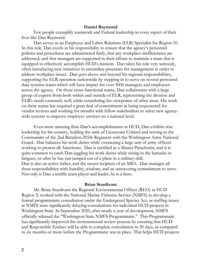#### Daniel Raymond

Few people exemplify teamwork and Federal leadership in every aspect of their lives like Dan Raymond.

Dan serves as an Employee and Labor Relations (ELR) Specialist for Region 10. In this role, Dan excels in his responsibility to ensure that the agency's personnel policies and procedures are administered fairly, that any workplace inefficiencies are addressed, and that managers are supported in their efforts to maintain a team that is equipped to effectively accomplish HUD's mission. Dan takes his role very seriously, often introducing new initiatives to streamline processes for management in order to address workplace issues. Dan goes above and beyond his regional responsibilities, supporting the ELR operation nationwide by stepping in to serve on several personnel data systems teams which will have impact for over 5000 managers and employees across the agency. On these cross-functional teams, Dan collaborates with a large group of experts from both within and outside of ELR, representing the division and ELR's needs extremely well, while considering the viewpoints of other areas. His work on these teams has required a great deal of commitment in being sequestered for vendor reviews and working for months with fellow stakeholders to select new agencywide systems to improve employee services on a national level.

Even more amazing than Dan's accomplishments at HUD, Dan exhibits true leadership for his country, holding the rank of Lieutenant Colonel and serving as the Commander of the 2nd Battalion 205th Regiment with the Washington Army National Guard. Dan balances his work duties while overseeing a large unit of army officers working to protect all Americans. Dan is certified as a Master Parachutist, and it is quite common to catch Dan juggling his work duties while sitting in the barracks in fatigues, or after he has just jumped out of a plane in a military drill. Dan is also an active father, and the recent recipient of an MBA. Dan manages all these responsibilities with humility, wisdom, and an unwavering commitment to serve. Not only is Dan a terrific team player and leader, he is a hero.

#### Brian Sturdivant

Mr. Brian Sturdivant the Regional Environmental Officer (REO) in HUD Region X worked with the National Marine Fisheries Service (NMFS) to develop a formal programmatic consultation under the Endangered Species Act, as staffing issues at NMFS were significantly delaying consultations for individual HUD projects in Washington State. In September 2020, after nearly a year of development, NMFS officially released the "Washington State NMFS Programmatic." This Programmatic has significantly improved the environmental review process by ensuring that HUD and Responsible Entities will be able to complete consultation in 20 days, as compared to six months or more before the Programmatic was in place. This helps HUD projects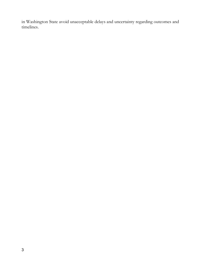in Washington State avoid unacceptable delays and uncertainty regarding outcomes and timelines.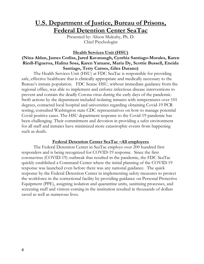## U.S. Department of Justice, Bureau of Prisons, Federal Detention Center SeaTac

Presented by: Alison Mulcahy, Ph. D. Chief Psychologist

#### Health Services Unit (HSU)

## (Nina Aldan, James Corliss, Jared Kavanaugh, Cynthia Santiago-Morales, Karen Riedl-Figueroa, Halina Sosa, Karen Yamane, Maria Dy, Scottie Bussell, Eneida Santiago, Terry Carnes, Giles Durano)

The Health Services Unit (HSU) at FDC SeaTac is responsible for providing safe, effective healthcare that is clinically appropriate and medically necessary to the Bureau's inmate population. FDC Seatac HSU, without immediate guidance from the regional office, was able to implement and enforce infectious disease interventions to prevent and contain the deadly Corona virus during the early days of the pandemic. Swift actions by the department included isolating inmates with temperatures over 101 degrees, contacted local hospital and universities regarding obtaining Covid-19 PCR testing, consulted Washington state CDC representatives on how to manage potential Covid positive cases. The HSU department response to the Covid-19 pandemic has been challenging. Their commitment and devotion in providing a safer environment for all staff and inmates have minimized more catastrophic events from happening such as death.

#### Federal Detention Center SeaTac –All employees

The Federal Detention Center in SeaTac employs over 200 hundred first responders and is being recognized for COVID-19 response. Since the first coronavirus (COVID-19) outbreak that resulted in the pandemic, the FDC SeaTac quickly established a Command Center where the initial planning of the COVID-19 response was launched even before there was any national guidance. The quick response by the Federal Detention Center in implementing safety measures to protect the workforce in the correctional facility by providing guidance on Personal Protective Equipment (PPE), assigning isolation and quarantine units, sanitizing processes, and screening staff and visitors coming in the institution resulted in thousands of dollars saved as well as numerous lives.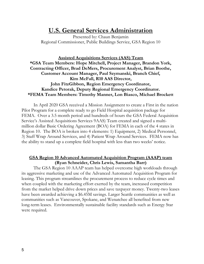## U.S. General Services Administration

Presented by: Chaun Benjamin Regional Commissioner, Public Buildings Service, GSA Region 10

#### Assisted Acquisitions Services (AAS) Team \*GSA Team Members: Hope Mitchell, Project Manager, Brandon York, Contracting Officer, Brad DeMers, Procurement Analyst, Brian Boothe, Customer Account Manager, Paul Szymanski, Branch Chief, Kim McFall, R10 AAS Director, John FitzGibbon, Region Emergency Coordinator, Kandice Petorak, Deputy Regional Emergency Coordinator. \*FEMA Team Members: Timothy Manner, Lon Biasco, Michael Brockett

In April 2020 GSA received a Mission Assignment to create a First in the nation Pilot Program for a complete ready to go Field Hospital acquisition package for FEMA. Over a 3.5 month period and hundreds of hours the GSA Federal Acquisition Service's Assisted Acquisitions Services 9AAS) Team created and signed a multimillion dollar Basic Ordering Agreement (BOA) for FEMA in each of the 4 states in Region 10. The BOA is broken into 4 elements: 1) Equipment, 2) Medical Personnel, 3) Staff Wrap Around Services, and 4) Patient Wrap Around Services. FEMA now has the ability to stand up a complete field hospital with less than two weeks' notice.

#### GSA Region 10 Advanced Automated Acquisition Program (AAAP) team (Ryan Schneider, Chris Lewis, Samantha Barr)

The GSA Region 10 AAAP team has helped overcome high workloads through its aggressive marketing and use of the Advanced Automated Acquisition Program for leasing. This program streamlines the procurement process to reduce cycle times and when coupled with the marketing effort exerted by the team, increased competition from the market helped drive down prices and save taxpayer money. Twenty-two leases have been awarded achieving a \$6.45M savings. Larger Seattle communities as well as communities such as Vancouver, Spokane, and Wenatchee all benefited from new long-term leases. Environmentally sustainable facility standards such as Energy Star were required.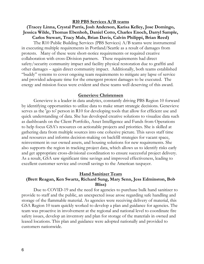#### (Tracey Linna, Crystal Parris, Josh Anderson, Karisa Kelley, Jose Domingo, Jessica Wilde, Thomas Ebenhoh, Daniel Cotto, Charles Enoch, Darryl Sample, Carlos Stewart, Tracy Mals, Brian Davis, Calvin Philippi, Brian Reed)

The R10 Public Building Services (PBS Services) A/B teams were instrumental in executing multiple requirements in Portland/Seattle as a result of damages from protests. Many of these were short-notice requirements or required creative collaboration with cross-Division partners. These requirements had direct safety/security community impact and facility physical restoration due to graffiti and other damages – again direct community impact. Additionally, both teams established "buddy" systems to cover ongoing team requirements to mitigate any lapse of service and provided adequate time for the emergent protest damages to be executed. The energy and mission focus were evident and these teams well deserving of this award.

#### Genevieve Christensen

Genevieve is a leader in data analytics, constantly driving PBS Region 10 forward by identifying opportunities to utilize data to make smart strategic decisions. Genevieve serves as the 'go to' person in R10 for developing tools that allow for efficient use and quick understanding of data. She has developed creative solutions to visualize data such as dashboards on the Client Portfolio, Asset Intelligence and Funds from Operations to help focus GSA's resources on actionable projects and priorities. She is skilled at gathering data from multiple sources into one cohesive picture. This saves staff time and resources and informs decision-making on backfill strategies for vacant space, reinvestment in our owned assets, and housing solutions for new requirements. She also supports the region in tracking project data, which allows us to identify risks early and get appropriate cross-divisional coordination to ensure successful project delivery. As a result, GSA saw significant time savings and improved effectiveness, leading to excellent customer service and overall savings to the American taxpayer.

#### Hand Sanitizer Team

#### (Brett Reagan, Ken Swartz, Richard Sung, Mary Senn, Jess Edminston, Bob Bliss)

Due to COVID-19 and the need for agencies to purchase bulk hand sanitizer to provide to staff and the public, an unexpected issue arose regarding safe handling and storage of the flammable material. As agencies were receiving delivery of material, this GSA Region 10 team quickly worked to develop a plan and guidance for agencies. The team was proactive in involvement at the regional and national level to coordinate fire safety issues, develop an inventory and plan for storage of the materials in owned and leased locations. This plan and guidance were adopted nationally and provided to customers nationwide.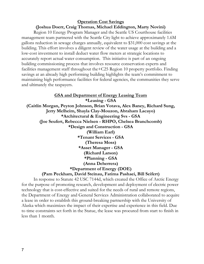## Operation Cost Savings

## (Joshua Doerr, Craig Thomas, Michael Eddington, Marty Novini)

Region 10 Energy Program Manager and the Seattle US Courthouse facilities management team partnered with the Seattle City light to achieve approximately 1.6M gallons reduction in sewage charges annually, equivalent to \$31,000 cost savings at the building. This effort involves a diligent review of the water usage at the building and a low-cost investment to install deduct water flow meters at strategic locations to accurately report actual water consumption. This initiative is part of an ongoing building commissioning process that involves resource conservation experts and facilities management staff throughout the+C25 Region 10 property portfolio. Finding savings at an already high performing building highlights the team's commitment to maintaining high performance facilities for federal agencies, the communities they serve and ultimately the taxpayers.

GSA and Department of Energy Leasing Team \*Leasing - GSA (Caitlin Morgan, Peyton Johnson, Brian Votava, Alex Baney, Richard Sung, Jerry Melheim, Shayla Clay-Mouzon, Abraham Lacayo) \*Architectural & Engineering Svs - GSA (Joe Seufert, Rebecca Nielsen - RHPO, Chelsea Branchcomb) \*Design and Construction - GSA (William Earl) \*Tenant Services - GSA (Theresa Moss) \*Asset Manager - GSA (Richard Larson) \*Planning - GSA (Anna Deherrera) \*Department of Energy (DOE)

### (Pam Peckham, David Steinau, Fatima Pashaei, Bill Seifert)

In response to Statute 42 USC 7144d, which created the Office of Arctic Energy for the purpose of promoting research, development and deployment of electric power technology that is cost-effective and suited for the needs of rural and remote regions, the Department of Energy and General Services Administration collaborated to acquire a lease in order to establish this ground-breaking partnership with the University of Alaska which maximizes the impact of their expertise and experience in this field. Due to time constraints set forth in the Statue, the lease was procured from start to finish in less than 1 month.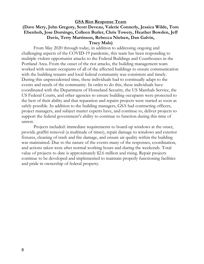#### GSA Riot Response Team

#### (Dave Mery, John Gregory, Scott Deveau, Valerie Connerly, Jessica Wilde, Tom Ebenhoh, Jose Domingo, Colleen Butler, Chris Towery, Heather Bowden, Jeff Davis, Terry Martinson, Rebecca Nielsen, Dan Galvin, Tracy Mals)

From May 2020 through today, in addition to addressing ongoing and challenging aspects of the COVID-19 pandemic, this team has been responding to multiple violent opportunist attacks to the Federal Buildings and Courthouses in the Portland Area. From the onset of the riot attacks, the building management team worked with tenant occupants of all of the affected buildings to ensure communication with the building tenants and local federal community was consistent and timely. During this unprecedented time, these individuals had to continually adapt to the events and needs of the community. In order to do this, these individuals have coordinated with the Department of Homeland Security, the US Marshals Service, the US Federal Courts, and other agencies to ensure building occupants were protected to the best of their ability and that reparation and repairs projects were started as soon as safely possible. In addition to the building managers, GSA had contracting officers, project managers, and subject matter experts have, and continue to, deliver projects to support the federal government's ability to continue to function during this time of unrest.

Projects included: immediate requirements to board-up windows at the onset, provide graffiti removal (a multitude of times), repair damage to windows and exterior fixtures, cleaning of trash and fire damage, and ensure air quality within the building was maintained. Due to the nature of the events many of the responses, coordination, and actions taken were after normal working hours and during the weekends. Total value of projects to date is approximately \$2.6 million and rising. Repair projects continue to be developed and implemented to maintain properly functioning facilities and pride in ownership of federal property.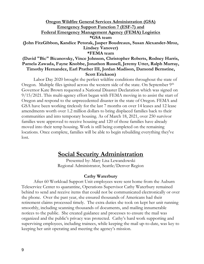#### Oregon Wildfire General Services Administration (GSA) Emergency Support Function 7 (ESF-7) and Federal Emergency Management Agency (FEMA) Logistics \*GSA team (John FitzGibbon, Kandice Petorak, Jasper Boudreaux, Susan Alexander-Mroz, Lindsey Vanover) \*FEMA team (David "Bic" Bicanovsky, Vince Johnson, Christopher Roberts, Rodney Harris,

## Pamela Zawada, Fayne Knobbe, Jonathon Russell, Jeremy Utter, Ralph Murray, Timothy Hernandez, Earl Prather III, Jordan Madison, Damond Bernstine, Scott Erickson)

Labor Day 2020 brought the perfect wildfire conditions throughout the state of Oregon. Multiple files ignited across the western side of the state. On September  $9<sup>th</sup>$ Governor Kate Brown requested a National Disaster Declaration which was signed on 9/15/2021. This multi-agency effort began with FEMA moving in to assist the start of Oregon and respond to the unprecedented disaster in the state of Oregon. FEMA and GSA have been working tirelessly for the last 7 months on over 14 leases and 12 lease amendments worth over 1.2 million dollars to bring displaced families back to their communities and into temporary housing. As of March 18, 2021, over 250 survivor families were approved to receive housing and 120 of those families have already moved into their temp housing. Work is still being completed on the remaining locations. Once complete, families will be able to begin rebuilding everything they've lost.

## Social Security Administration

Presented by: Mary Lisa Lewandowski Regional Administrator, Seattle/Denver Region

#### Cathy Waterbury

After 60 Workload Support Unit employees were sent home from the Auburn Teleservice Center to quarantine, Operations Supervisor Cathy Waterbury remained behind to send and receive items that could not be communicated electronically or over the phone. Over the past year, she ensured thousands of Americans had their retirement claims processed timely. The extra duties she took on kept her unit running smoothly, including scanning thousands of documents, and mailing innumerable notices to the public. She created guidance and processes to ensure the mail was organized and the public's privacy was protected. Cathy's hard work supporting and supervising employees, including trainees, while keeping the mail up-to-date, was key to keeping her unit operating and meeting the agency's mission.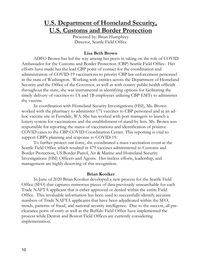## U.S. Department of Homeland Security, U.S. Customs and Border Protection

Presented by: Brian Humphrey Director, Seattle Field Office

#### Lisa Beth Brown

ADFO Brown has led the way among her peers in taking on the role of COVID Ambassador for the Customs and Border Protection (CBP) Seattle Field Office. Her efforts have made her the lead CBP point of contact for the coordination and administration of COVID-19 vaccinations to priority CBP law enforcement personnel in the state of Washington. Working with entities across the Department of Homeland Security and the Office of the Governor, as well as with county public health officials throughout the state, she was instrumental in identifying options for facilitating the timely delivery of vaccines to 1A and 1B employees utilizing CBP EMTs to administer the vaccine.

In coordination with Homeland Security Investigations (HSI), Ms. Brown worked with the pharmacy to administer 171 vaccines to CBP personnel and at an adhoc vaccine site in Ferndale, WA. She has worked with port managers to launch a lottery system for vaccinations and the establishment of stand-by lists. Ms. Brown was responsible for reporting the status of vaccinations and identification of positive COVID cases to the CBP COVID Coordination Center. This reporting is vital to support CBP's planning and response to COVID-19.

To further protect our force, she coordinated a mass vaccination event at the Seattle Field Office which resulted in 479 vaccines administered to Customs and Border Protection, US Border Patrol, Air & Marine and Homeland Security Investigations (HSI) Officers and Agents. Her tireless efforts, leadership, and management are highly deserving of this recognition.

#### Brian Kooiker

In June of 2020 Brian Kooiker developed a new process for the Seattle Field Office (SFO) that captures numerous pieces of data previously unsearchable for each Trade NAFTA applicant that is either approved or denied within the entire Field Office. This invaluable information has been used to successfully identify accurate numbers of Trade NAFTA applicants that have been adjudicated within the SFO, trends, patterns of fraud, and national security intelligence. Due to the success, all preclearance ports of entry as well as the Buffalo Field Office have implemented the process while Detroit and Boston Field Offices are currently considering implementation.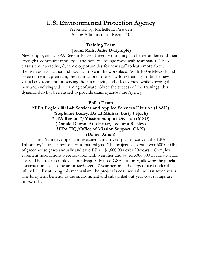# U.S. Environmental Protection Agency

Presented by: Michelle L. Pirzadeh Acting Administrator, Region 10

#### Training Team (Joann Mills, Anne Dalrymple)

New employees to EPA Region 10 are offered two trainings to better understand their strengths, communication style, and how to leverage these with teammates. These classes are interactive, dynamic opportunities for new staff to learn more about themselves, each other and how to thrive in the workplace. With 100% telework and screen time at a premium, the team tailored these day-long trainings to fit the new virtual environment, preserving the interactivity and effectiveness while learning the new and evolving video teaming software. Given the success of the trainings, this dynamic duo has been asked to provide training across the Agency.

### Boiler Team

### \*EPA Region 10/Lab Services and Applied Sciences Division (LSAD) (Stephanie Bailey, David Minisci, Barry Pepich) \*EPA Region 7/Mission Support Division (MSD) (Donald Denno, Arlo Hurst, Leeanna Balsley) \*EPA HQ/Office of Mission Support (OMS) (Daniel Amon)

This Team developed and executed a multi-year plan to convert the EPA Laboratory's diesel-fired boilers to natural gas. The project will abate over 500,000 lbs of greenhouse gases annually and save EPA  $\sim$ \$1,600,000 over 20-years. Complex easement negotiations were required with 3 entities and saved \$300,000 in construction costs. The project employed an infrequently used GSA authority, allowing the pipeline construction costs to be amortized over a 7-year period and charged back under the utility bill. By utilizing this mechanism, the project is cost neutral the first seven years. The long-term benefits to the environment and substantial out-year cost savings are noteworthy.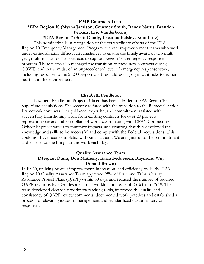## EMB Contracts Team \*EPA Region 10 (Myrna Jamison, Courtney Smith, Randy Nattis, Brandon Perkins, Eric Vanderboom)

#### \*EPA Region 7 (Scott Dandy, Leeanna Balsley, Koni Fritz)

This nomination is in recognition of the extraordinary efforts of the EPA Region 10 Emergency Management Program contract re-procurement teams who work under extraordinarily difficult circumstances to ensure the timely award of two multiyear, multi-million-dollar contracts to support Region 10's emergency response program. These teams also managed the transition to these new contracts during COVID and in the midst of an unprecedented level of emergency response work, including response to the 2020 Oregon wildfires, addressing significant risks to human health and the environment.

#### Elizabeth Pendleton

Elizabeth Pendleton, Project Officer, has been a leader in EPA Region 10 Superfund acquisitions. She recently assisted with the transition to the Remedial Action Framework contracts. Her guidance, expertise, and commitment assisted with successfully transitioning work from existing contracts for over 20 projects representing several million dollars of work, coordinating with EPA's Contracting Officer Representatives to minimize impacts, and ensuring that they developed the knowledge and skills to be successful and comply with the Federal Acquisitions. This could not have been completed without Elizabeth. We are grateful for her commitment and excellence she brings to this work each day.

#### Quality Assurance Team (Meghan Dunn, Don Matheny, Karin Feddersen, Raymond Wu, Donald Brown)

In FY20, utilizing process improvement, innovation, and efficiency tools, the EPA Region 10 Quality Assurance Team approved 98% of State and Tribal Quality Assurance Project Plans (QAPP) within 60 days and reduced the number of required QAPP revisions by 22%, despite a total workload increase of 23% from FY19. The team developed electronic workflow tracking tools, improved the quality and consistency of QAPP review comments, documented work practices and established a process for elevating issues to management and standardized customer service responses.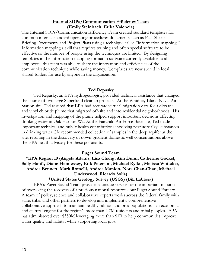#### Internal SOPs/Communication Efficiency Team (Emily Steinbach, Erika Valencia)

The Internal SOPs/Communication Efficiency Team created standard templates for common internal standard operating procedures documents such as Fact Sheets, Briefing Documents and Project Plans using a technique called "information mapping." Information mapping a skill that requires training and often special software to be effective so the number of people using the techniques are limited. By designing templates in the information mapping format in software currently available to all employees, this team was able to share the innovation and efficiencies of the communication technique while saving money. Templates are now stored in local shared folders for use by anyone in the organization.

#### Ted Repasky

Ted Repasky, an EPA hydrogeologist, provided technical assistance that changed the course of two large Superfund cleanup projects. At the Whidbey Island Naval Air Station site, Ted assured that EPA had accurate vertical migration data for a dioxane and vinyl chloride plume that migrated off-site and into residential neighborhoods. His investigation and mapping of the plume helped support important decisions affecting drinking water in Oak Harbor, Wa. At the Fairchild Air Force Base site, Ted made important technical and public health contributions involving perfluoroalkyl substances in drinking water. He recommended collection of samples in the deep aquifer at the site, resulting in the discovery of down-gradient domestic well concentrations above the EPA health advisory for these pollutants.

#### Puget Sound Team

\*EPA Region 10 (Angela Adams, Lisa Chang, Ann Dunn, Catherine Gockel, Sally Hanft, Diane Hennessey, Erik Peterson, Michael Rylko, Melissa Whitaker, Andrea Bennett, Mark Romelli, Andrea Manion, Nora Chan-Chau, Michael Underwood, Ricardo Solis)

#### \*United States Geology Survey (USGS) (Bill Labiosa)

EPA's Puget Sound Team provides a unique service for the important mission of overseeing the recovery of a precious national resource - our Puget Sound Estuary. A team of policy, science and collaborative experts works across the federal family with state, tribal and other partners to develop and implement a comprehensive collaborative approach to maintain healthy salmon and orca populations - an economic and cultural engine for the region's more than 4.7M residents and tribal peoples. EPA has administered over \$350M leveraging more than \$1B to help communities improve water quality and habitat while supporting local jobs.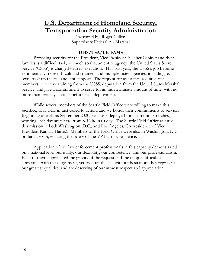# U.S. Department of Homeland Security, Transportation Security Administration

Presented by: Roger Cullen Supervisory Federal Air Marshal

### DHS/TSA/LE-FAMS

Providing security for the President, Vice President, his/her Cabinet and their families is a difficult task, so much so that an entire agency (the United States Secret Service (USSS)) is charged with its execution. This past year, the USSS's job became exponentially more difficult and strained, and multiple sister agencies, including our own, took up the call and lent support. The request for assistance required our members to receive training from the USSS, deputation from the United States Marshal Service, and give a commitment to serve for an indeterminate amount of time, with no more than two days' notice before each deployment.

While several members of the Seattle Field Office were willing to make this sacrifice, four were in fact called to action, and we honor their commitments to service. Beginning as early as September 2020, each one deployed for 1-2 month stretches, working each day anywhere from 8-12 hours a day. The Seattle Field Office assisted this mission in both Washington, D.C., and Los Angeles, CA (residence of Vice President Kamala Harris). Members of the Field Office were also in Washington, D.C. on January 6th, ensuring the safety of the VP Harris's residence.

Application of our law enforcement professionals in this capacity demonstrated on a national level our utility, our flexibility, our competence, and our professionalism. Each of them appreciated the gravity of the request and the unique difficulties associated with the assignment, yet took up the call without hesitation; they represent our greatest qualities, and are deserving of our utmost respect and appreciation.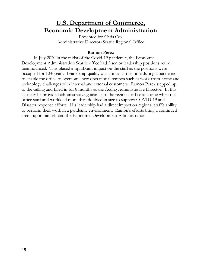# U.S. Department of Commerce, Economic Development Administration

Presented by: Chris Cox Administrative Director/Seattle Regional Office

#### Ramon Perez

In July 2020 in the midst of the Covid-19 pandemic, the Economic Development Administration Seattle office had 2 senior leadership positions retire unannounced. This placed a significant impact on the staff as the positions were occupied for 10+ years. Leadership quality was critical at this time during a pandemic to enable the office to overcome new operational tempos such as work-from-home and technology challenges with internal and external customers. Ramon Perez stepped up to the calling and filled in for 8 months as the Acting Administrative Director. In this capacity he provided administrative guidance to the regional office at a time when the office staff and workload more than doubled in size to support COVID-19 and Disaster response efforts. His leadership had a direct impact on regional staff's ability to perform their work in a pandemic environment. Ramon's efforts bring a continued credit upon himself and the Economic Development Administration.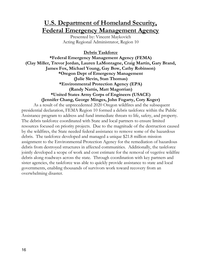# U.S. Department of Homeland Security, Federal Emergency Management Agency

Presented by: Vincent Maykovich Acting Regional Administrator, Region 10

### Debris Taskforce

\*Federal Emergency Management Agency (FEMA) (Clay Miller, Trevor Jordan, Lauren LaMontagne, Craig Martin, Gary Brand, James Fox, Michael Young, Gay Bow, Cathy Robinson) \*Oregon Dept of Emergency Management (Julie Slevin, Stan Thomas) \*Environmental Protection Agency (EPA) (Randy Nattis, Matt Magorrian) \*United States Army Corps of Engineers (USACE) (Jennifer Chang, George Minges, John Fogarty, Cory Koger)

As a result of the unprecedented 2020 Oregon wildfires and the subsequent presidential declaration, FEMA Region 10 formed a debris taskforce within the Public Assistance program to address and fund immediate threats to life, safety, and property. The debris taskforce coordinated with State and local partners to ensure limited resources focused on priority projects. Due to the magnitude of the destruction caused by the wildfires, the State needed federal assistance to remove some of the hazardous debris. The taskforce developed and managed a unique \$21.8 million mission assignment to the Environmental Protection Agency for the remediation of hazardous debris from destroyed structures in affected communities. Additionally, the taskforce jointly developed a scope of work and cost estimate for the removal of vegetive wildfire debris along roadways across the state. Through coordination with key partners and sister agencies, the taskforce was able to quickly provide assistance to state and local governments, enabling thousands of survivors work toward recovery from an overwhelming disaster.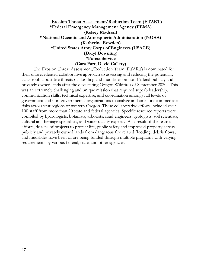#### Erosion Threat Assessment/Reduction Team (ETART) \*Federal Emergency Management Agency (FEMA) (Kelsey Madsen) \*National Oceanic and Atmospheric Administration (NOAA) (Katherine Rowden) \*United States Army Corps of Engineers (USACE) (Daryl Downing) \*Forest Service (Cara Farr, David Callery)

The Erosion Threat Assessment/Reduction Team (ETART) is nominated for their unprecedented collaborative approach to assessing and reducing the potentially catastrophic post fire threats of flooding and mudslides on non-Federal publicly and privately owned lands after the devastating Oregon Wildfires of September 2020. This was an extremely challenging and unique mission that required superb leadership, communication skills, technical expertise, and coordination amongst all levels of government and non-governmental organizations to analyze and ameliorate immediate risks across vast regions of western Oregon. These collaborative efforts included over 100 staff from more than 20 state and federal agencies. Specific resource reports were compiled by hydrologists, botanists, arborists, road engineers, geologists, soil scientists, cultural and heritage specialists, and water quality experts. As a result of the team's efforts, dozens of projects to protect life, public safety and improved property across publicly and privately owned lands from dangerous fire related flooding, debris flows, and mudslides have been or are being funded through multiple programs with varying requirements by various federal, state, and other agencies.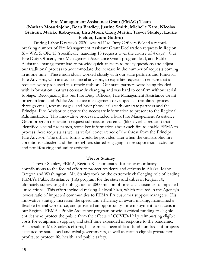#### Fire Management Assistance Grant (FMAG) Team (Nathan Mosurinjohn, Beau Bradley, Justine Smith, Michelle Kato, Nicolas Granum, Mariko Kobayashi, Lisa Moon, Craig Martin, Trevor Stanley, Laurie Fielder, Laura Gothro)

During Labor Day week 2020, several Fire Duty Officers fielded a recordbreaking number of Fire Management Assistant Grant Declaration requests in Region X – WA: 5; OR: 15 (specifically, handling 18 requests over the course of 4 days). Our Fire Duty Officers, Fire Management Assistance Grant program lead, and Public Assistance management had to provide quick answers to policy questions and adjust our traditional process to accommodate the increase in the number of requests coming in at one time. These individuals worked closely with our state partners and Principal Fire Advisors, who are our technical advisors, to expedite requests to ensure that all requests were processed in a timely fashion. Our state partners were being flooded with information that was constantly changing and was hard to confirm without aerial footage. Recognizing this our Fire Duty Officers, Fire Management Assistance Grant program lead, and Public Assistance management developed a streamlined process through email, text messages, and brief phone calls with our state partners and the Principal Fire Advisor to capture the necessary information to present to the Regional Administrator. This innovative process included a bulk Fire Management Assistance Grant program declaration request submission via email (like a verbal request) that identified several fire names, some key information about each fire to enable FEMA to process these requests as well as verbal concurrence of the threat from the Principal Fire Advisor. The official forms would be provided later when the catastrophic fire conditions subsided and the firefighters started engaging in fire suppression activities and not lifesaving and safety activities.

#### Trevor Stanley

Trevor Stanley, FEMA, Region X is nominated for his extraordinary contributions to the federal effort to protect residents and citizens in Alaska, Idaho, Oregon and Washington. Mr. Stanley took on the extremely challenging role of leading FEMA's Public Assistance (PA) program for the states and tribes in Region 10, ultimately supervising the obligation of \$800 million of financial assistance to impacted jurisdictions. This effort included making 40 local hires, which resulted in the Agency's lowest ratio of impacted communities to FEMA PA customer support managers. His innovative strategy increased the speed and efficiency of award making, maintained a flexible federal workforce, and provided an opportunity for employment to citizens in our Region. FEMA's Public Assistance program provides critical funding to eligible entities who protect the public from the effects of COVID-19 by reimbursing eligible costs for equipment, supplies, and staff time expended in response to the pandemic. As a result of Mr. Stanley's efforts, his team has been able to fund hundreds of projects executed by state, local and tribal governments, as well as certain eligible private nonprofits, to protect life, health, and public safety.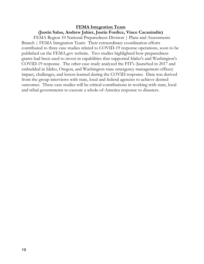## FEMA Integration Team (Justin Salus, Andrew Jahier, Justin Fordice, Vince Cacanindin)

FEMA Region 10 National Preparedness Division | Plans and Assessments Branch | FEMA Integration Team: Their extraordinary coordination efforts contributed to three case studies related to COVID-19 response operations, soon to be published on the FEMA.gov website. Two studies highlighted how preparedness grants had been used to invest in capabilities that supported Idaho's and Washington's COVID-19 response. The other case study analyzed the FIT's (launched in 2017 and embedded in Idaho, Oregon, and Washington state emergency management offices) impact, challenges, and lesson learned during the COVID response. Data was derived from the group interviews with state, local and federal agencies to achieve desired outcomes. These case studies will be critical contributions in working with state, local and tribal governments to execute a whole-of-America response to disasters.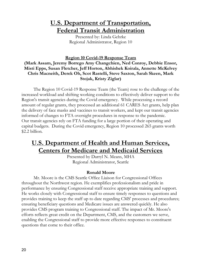# U.S. Department of Transportation, Federal Transit Administration

Presented by: Linda Gehrke Regional Administrator, Region 10

Region 10 Covid-19 Response Team

## (Mark Assam, Jeremy Borrego Amy Changchien, Ned Conroy, Debbie Ensor, Misti Epps, Susan Fletcher, Jeff Horton, Abhishek Koirala, Annette McKelvey Chris Macneith, Derek Oh, Scot Rastelli, Steve Saxton, Sarah Skeen, Mark Stojak, Kristy Ziglar)

The Region 10 Covid-19 Response Team (the Team) rose to the challenge of the increased workload and shifting working conditions to effectively deliver support to the Region's transit agencies during the Covid emergency. While processing a record amount of regular grants, they processed an additional 61 CARES Act grants, help plan the delivery of face masks and vaccines to transit workers, and kept our transit agencies informed of changes to FTA oversight procedures in response to the pandemic. Our transit agencies rely on FTA funding for a large portion of their operating and capital budgets. During the Covid emergency, Region 10 processed 265 grants worth \$2.2 billion.

# U.S. Department of Health and Human Services, Centers for Medicare and Medicaid Services

Presented by Darryl N. Means, MHA Regional Administrator, Seattle

## Ronald Moore

Mr. Moore is the CMS Seattle Office Liaison for Congressional Offices throughout the Northwest region. He exemplifies professionalism and pride in performance by ensuring Congressional staff receive appropriate training and support. He works closely with Congressional staff to ensure timely responses to questions and provides training to keep the staff up to date regarding CMS' processes and procedures; ensuring beneficiary questions and Medicare issues are answered quickly. He also provides CMS program training to Congressional staff. The impact of Mr. Moore's efforts reflects great credit on the Department, CMS, and the customers we serve, enabling the Congressional staff to provide more effective responses to constituent questions that come to their office.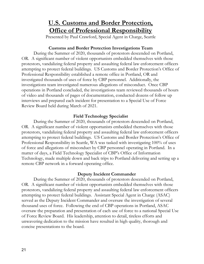# U.S. Customs and Border Protection, **Office of Professional Responsibility**

Presented by Paul Crawford, Special Agent in Charge, Seattle

#### Customs and Border Protection Investigations Team

During the Summer of 2020, thousands of protestors descended on Portland, OR. A significant number of violent opportunists embedded themselves with those protestors, vandalizing federal property and assaulting federal law enforcement officers attempting to protect federal buildings. US Customs and Border Protection's Office of Professional Responsibility established a remote office in Portland, OR and investigated thousands of uses of force by CBP personnel. Additionally, the investigations team investigated numerous allegations of misconduct. Once CBP operations in Portland concluded, the investigations team reviewed thousands of hours of video and thousands of pages of documentation, conducted dozens of follow up interviews and prepared each incident for presentation to a Special Use of Force Review Board held during March of 2021.

### Field Technology Specialist

During the Summer of 2020, thousands of protestors descended on Portland, OR. A significant number of violent opportunists embedded themselves with those protestors, vandalizing federal property and assaulting federal law enforcement officers attempting to protect federal buildings. US Customs and Border Protection's Office of Professional Responsibility in Seattle, WA was tasked with investigating 100% of uses of force and allegations of misconduct by CBP personnel operating in Portland. In a matter of days, a Field Technology Specialist of CBP's Office of Information Technology, made multiple down and back trips to Portland delivering and setting up a remote CBP network in a forward operating office.

### Deputy Incident Commander

During the Summer of 2020, thousands of protestors descended on Portland, OR. A significant number of violent opportunists embedded themselves with those protestors, vandalizing federal property and assaulting federal law enforcement officers attempting to protect federal buildings. Assistant Special Agent in Charge (ASAC) served as the Deputy Incident Commander and oversaw the investigation of several thousand uses of force. Following the end of CBP operations in Portland, ASAC oversaw the preparation and presentation of each use of force to a national Special Use of Force Review Board. His leadership, attention to detail, tireless efforts and unwavering dedication to the mission have resulted in high quality, thorough and concise presentations to the board.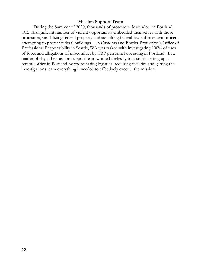### Mission Support Team

During the Summer of 2020, thousands of protestors descended on Portland, OR. A significant number of violent opportunists embedded themselves with those protestors, vandalizing federal property and assaulting federal law enforcement officers attempting to protect federal buildings. US Customs and Border Protection's Office of Professional Responsibility in Seattle, WA was tasked with investigating 100% of uses of force and allegations of misconduct by CBP personnel operating in Portland. In a matter of days, the mission support team worked tirelessly to assist in setting up a remote office in Portland by coordinating logistics, acquiring facilities and getting the investigations team everything it needed to effectively execute the mission.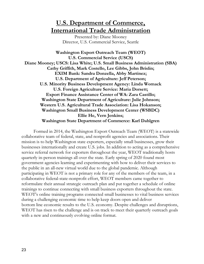# U.S. Department of Commerce, International Trade Administration

Presented by: Diane Mooney Director, U.S. Commercial Service, Seattle

Washington Export Outreach Team (WEOT) U.S. Commercial Service (USCS) Diane Mooney; USCS: Lisa White; U.S. Small Business Administration (SBA) Cathy Griffith, Mark Costello, Lee Gibbs, John Brislin; EXIM Bank: Sandra Donzella, Abby Martinez; U.S. Department of Agriculture: Jeff Peterson; U.S. Minority Business Development Agency: Linda Womack U.S. Foreign Agriculture Service: Maria Dorsett; Export Finance Assistance Center of WA: Zara Castillo; Washington State Department of Agriculture: Julie Johnson; Western U.S. Agricultural Trade Association: Lisa Hokanson; Washington Small Business Development Center (WSBDC) Ellie He, Vern Jenkins; Washington State Department of Commerce: Karl Dahlgren

Formed in 2014, the Washington Export Outreach Team (WEOT) is a statewide collaborative team of federal, state, and nonprofit agencies and associations. Their mission is to help Washington state exporters, especially small businesses, grow their businesses internationally and create U.S. jobs. In addition to acting as a comprehensive service referral network for exporters throughout the year, WEOT traditionally hosts quarterly in-person trainings all over the state. Early spring of 2020 found most government agencies learning and experimenting with how to deliver their services to the public in an all-new virtual world due to the global pandemic. Although participating in WEOT is not a primary role for any of the members of the team, in a collaborative federal-state-nonprofit effort, WEOT members came together to reformulate their annual strategic outreach plan and put together a schedule of online trainings to continue connecting with small business exporters throughout the state. WEOT's online training programs connected small businesses to vital business services during a challenging economic time to help keep doors open and deliver bottom line economic results to the U.S. economy. Despite challenges and disruptions, WEOT has risen to the challenge and is on track to meet their quarterly outreach goals with a new and continuously evolving online format.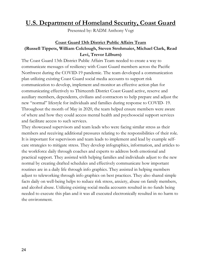# U.S. Department of Homeland Security, Coast Guard

Presented by: RADM Anthony Vogt

## Coast Guard 13th District Public Affairs Team (Russell Tippets, William Colclough, Steven Strohmaier, Michael Clark, Read Levi, Trevor Lilburn)

The Coast Guard 13th District Public Affairs Team needed to create a way to communicate messages of resiliency with Coast Guard members across the Pacific Northwest during the COVID-19 pandemic. The team developed a communication plan utilizing existing Coast Guard social media accounts to support risk communication to develop, implement and monitor an effective action plan for communicating effectively to Thirteenth District Coast Guard active, reserve and auxiliary members, dependents, civilians and contractors to help prepare and adjust the new "normal" lifestyle for individuals and families during response to COVID- 19. Throughout the month of May in 2020, the team helped ensure members were aware of where and how they could access mental health and psychosocial support services and facilitate access to such services.

They showcased supervisors and team leads who were facing similar stress as their members and receiving additional pressures relating to the responsibilities of their role. It is important for supervisors and team leads to implement and lead by example selfcare strategies to mitigate stress. They develop infographics, information, and articles to the workforce daily through coaches and experts to address both emotional and practical support. They assisted with helping families and individuals adjust to the new normal by creating drafted schedules and effectively communicate how important routines are in a daily life through info graphics. They assisted in helping members adjust to teleworking through info graphics on best practices. They also shared simple facts daily on well-being helps to reduce risk stress, anxiety, abuse on family members, and alcohol abuse. Utilizing existing social media accounts resulted in no funds being needed to execute this plan and it was all executed electronically resulted in no harm to the environment.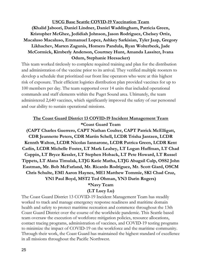USCG Base Seattle COVID-19 Vaccination Team (Khalid Jaboori, Daniel Lindner, Daniel Waddingham, Patricia Green, Kristopher McGhee, Jedidiah Johnson, Jason Rodriguez, Chelsey Ortiz, Macaluso Macaluso, Emmanuel Lopez, Ashkey Sarkisian, Tyler Jaap, Gregory Likhachev, Marten Zagunis, Homero Pandula, Ryan Wolterbeek, Jade McCormick, Kimberly Anderson, Courtney Hunt, Amanda Lassiter, Ivana Odum, Stephanie Heesacker)

This team worked tirelessly to complete required training and plan for the distribution and administration of the vaccine prior to its arrival. They verified multiple roosters to develop a schedule that prioritized our front line operators who were at this highest risk of exposure. Their efficient logistics distribution plan provided vaccines for up to 100 members per day. The team supported over 14 units that included operational commands and staff elements within the Puget Sound area. Ultimately, the team administered 2,640 vaccines, which significantly improved the safety of our personnel and our ability to sustain operational missions.

## The Coast Guard District 13 COVID-19 Incident Management Team \*Coast Guard Team

(CAPT Charles Guerrero, CAPT Nathan Coulter, CAPT Patrick McElligatt, CDR Jeannette Peters, CDR Martin Schell, LCDR Trisha Jantzen, LCDR Kennth Walton, LCDR Nicolas Iannarone, LCDR Patrica Green, LCDR Kent Catlin, LCDR Michelle Foster, LT Mark Leahey, LT Logan Huffman, LT Chad Coppin, LT Bryce Kessler, LT Stephen Hoback, LT Pete Howard, LT Russel Tippets, LT Alana Timulak, LTJG Katie Matha, LTJG Abagail Culp, OSS2 John Eastman, Mr. Bob McFarland, Mr. Ricardo Rodriguez, Mr. Scott Giard, OSCM Chris Schulte, EM1 Aaron Haynes, ME1 Matthew Tommie, SK1 Chad Cruz, YN1 Paul Boyd, MST2 Ted Ohman, YN3 Darin Rogers)

## \*Navy Team

#### (LT Lucy Lu)

The Coast Guard District 13 COVID-19 Incident Management Team has steadily worked to track and manage emergency response readiness and maritime domain health and safety to protect maritime recreation and commerce throughout the 13th Coast Guard District over the course of the worldwide pandemic. This Seattle based team oversaw the execution of workforce mitigation policies, resource allocations, contact tracing programs, administration of vaccines, and COVID-19 testing programs to minimize the impact of COVID-19 on the workforce and the maritime community. Through their work, the Coast Guard has maintained the highest standard of excellence in all missions throughout the Pacific Northwest.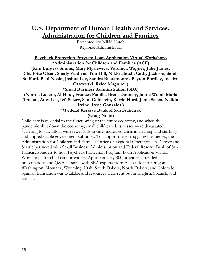# U.S. Department of Human Health and Services, Administration for Children and Families

Presented by: Nikki Hatch Regional Administrator

Paycheck Protection Program Loan Application Virtual Workshops \*Administration for Children and Families (ACF) (Kim Burgess Simms, Mary Myslewicz, Varonica Wagner, Julie James, Charlotte Olsen, Sherly Valdivia, Tim Hill, Nikki Hatch, Cathy Jackson, Sarah Stafford, Paul Noski, Joshua Lee, Sandra Bustamonte , Payton Bordley, Jocelyn Ostrowski, Rylee Maguire, ) \*Small Business Administration (SBA) (Norma Lucero, Al Haut, Frances Padilla, Brent Donnely, Jaime Wood, Marla Trollan, Amy Lea, Jeff Salzer, Sam Goldstein, Kerrie Hurd, Janie Sacco, Nelida Irvine, Irene Gonzales ) \*\*Federal Reserve Bank of San Francisco

(Craig Nolte)

Child care is essential to the functioning of the entire economy, and when the pandemic shut down the economy, small child care businesses were devastated, suffering to stay afloat with fewer kids in care, increased costs in cleaning and staffing, and unpredictable government subsidies. To support these struggling businesses, the Administration for Children and Families Office of Regional Operations in Denver and Seattle partnered with Small Business Administration and Federal Reserve Bank of San Francisco leaders to host Paycheck Protection Program Loan Application Virtual Workshops for child care providers. Approximately 800 providers attended presentations and Q&A sessions with SBA experts from Alaska, Idaho, Oregon, Washington, Montana, Wyoming, Utah, South Dakota, North Dakota, and Colorado. Spanish translation was available and resources were sent out in English, Spanish, and Somali.